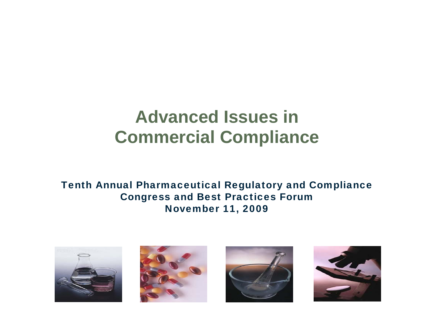# **Advanced Issues in Commercial Compliance**

Tenth Annual Pharmaceutical Regulatory and Compliance Congress and Best Practices Forum November 11, 2009







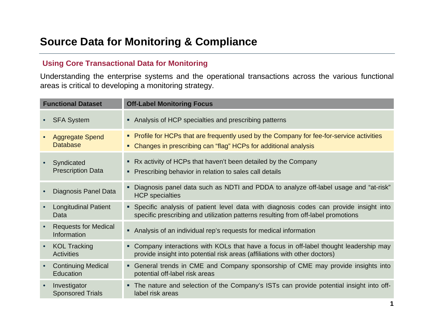## **Using Core Transactional Data for Monitoring**

Understanding the enterprise systems and the operational transactions across the various functional areas is critical to developing a monitoring strategy.

| <b>Functional Dataset</b> |                                               | <b>Off-Label Monitoring Focus</b>                                                                                                                                            |
|---------------------------|-----------------------------------------------|------------------------------------------------------------------------------------------------------------------------------------------------------------------------------|
|                           | <b>SFA System</b>                             | • Analysis of HCP specialties and prescribing patterns                                                                                                                       |
|                           | <b>Aggregate Spend</b><br><b>Database</b>     | • Profile for HCPs that are frequently used by the Company for fee-for-service activities<br>• Changes in prescribing can "flag" HCPs for additional analysis                |
|                           | Syndicated<br><b>Prescription Data</b>        | • Rx activity of HCPs that haven't been detailed by the Company<br>• Prescribing behavior in relation to sales call details                                                  |
|                           | Diagnosis Panel Data                          | Diagnosis panel data such as NDTI and PDDA to analyze off-label usage and "at-risk"<br><b>HCP</b> specialties                                                                |
|                           | <b>Longitudinal Patient</b><br>Data           | • Specific analysis of patient level data with diagnosis codes can provide insight into<br>specific prescribing and utilization patterns resulting from off-label promotions |
|                           | <b>Requests for Medical</b><br>Information    | Analysis of an individual rep's requests for medical information                                                                                                             |
|                           | <b>KOL Tracking</b><br><b>Activities</b>      | • Company interactions with KOLs that have a focus in off-label thought leadership may<br>provide insight into potential risk areas (affiliations with other doctors)        |
|                           | <b>Continuing Medical</b><br><b>Education</b> | • General trends in CME and Company sponsorship of CME may provide insights into<br>potential off-label risk areas                                                           |
|                           | Investigator<br><b>Sponsored Trials</b>       | • The nature and selection of the Company's ISTs can provide potential insight into off-<br>label risk areas                                                                 |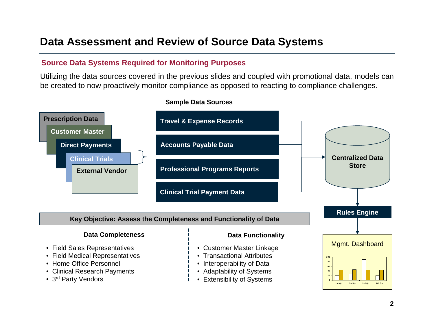# **Data Assessment and Review of Source Data Systems**

## **Source Data Systems Required for Monitoring Purposes**

Utilizing the data sources covered in the previous slides and coupled with promotional data, models can be created to now proactively monitor compliance as opposed to reacting to compliance challenges.



#### **Sample Data Sources**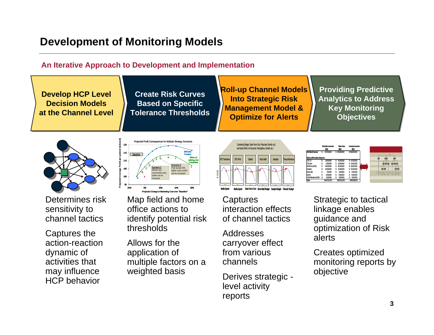# **Development of Monitoring Models**

**Pro j eced A ve r ge Prft p r pa ie n (index ed )**

105110115

**Baseline**

### **An Iterative Approach to Development and Implementation**

**Decision Models Decision Models at the Channel Levelat the Channel LevelDevelop HCP Level** 

**Create Risk Curves Create Risk Curves Based on Specific Based on Specific Tolerance Thresholds Tolerance Thresholds**

Projected Profit Consequences for Multiple Strategy Scenario

**Scenario C**Without any incremental costs, its can be increased

 <sup>H</sup> <sup>G</sup> FECB

**Scenario G** If we accept 20% higher costs, profits can be incre

**Effect of Adding 2nd Constraint**

J

**EfficientFrontier**

**Roll-up Channel Models Roll-up Channel Models Into Strategic Risk Into Strategic Risk Management Model & Management Model & Optimize for Alerts Optimize for Alerts**

**Providing Predictive Providing Predictive Analytics to Address Analytics to Address Key Monitoring Key Monitoring Objectives Objectives**



Determines risk sensitivity to channel tactics

• Captures the action-reaction dynamic of activities that may influence HCP behavior

• Map field and home office actions to identify potential risk thresholds **Projected Change in Marketing Cost** -20%0% 20% 40% 60%

• Allows for the application of multiple factors on a weighted basis



**Captures** interaction effects of channel tactics

• Addresses carryover effect from various channels

• Derives strategic level activity reports



Strategic to tactical linkage enables guidance and optimization of Risk alerts

• Creates optimized monitoring reports by objective